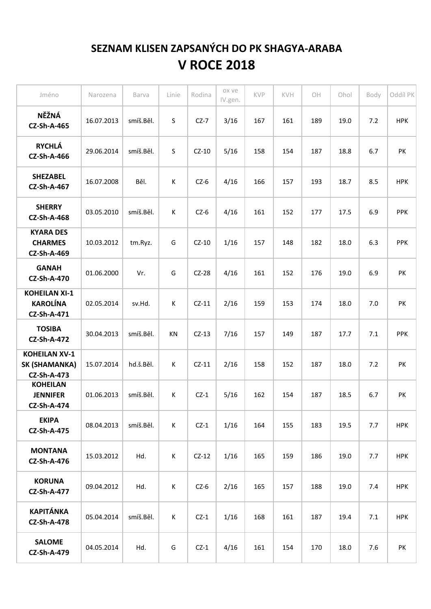## **SEZNAM KLISEN ZAPSANÝCH DO PK SHAGYA-ARABA V ROCE 2018**

| Jméno                                                       | Narozena   | Barva     | Linie       | Rodina  | ox ve<br>IV.gen. | KVP | KVH | $\bigcirc$ H | Ohol | Body | Oddíl PK   |
|-------------------------------------------------------------|------------|-----------|-------------|---------|------------------|-----|-----|--------------|------|------|------------|
| NĚŽNÁ<br><b>CZ-Sh-A-465</b>                                 | 16.07.2013 | smíš.Běl. | S           | $CZ-7$  | 3/16             | 167 | 161 | 189          | 19.0 | 7.2  | <b>HPK</b> |
| <b>RYCHLÁ</b><br><b>CZ-Sh-A-466</b>                         | 29.06.2014 | smíš.Běl. | S           | $CZ-10$ | 5/16             | 158 | 154 | 187          | 18.8 | 6.7  | PK         |
| <b>SHEZABEL</b><br><b>CZ-Sh-A-467</b>                       | 16.07.2008 | Běl.      | К           | $CZ-6$  | 4/16             | 166 | 157 | 193          | 18.7 | 8.5  | <b>HPK</b> |
| <b>SHERRY</b><br><b>CZ-Sh-A-468</b>                         | 03.05.2010 | smíš.Běl. | K           | $CZ-6$  | 4/16             | 161 | 152 | 177          | 17.5 | 6.9  | <b>PPK</b> |
| <b>KYARA DES</b><br><b>CHARMES</b><br><b>CZ-Sh-A-469</b>    | 10.03.2012 | tm.Ryz.   | G           | $CZ-10$ | 1/16             | 157 | 148 | 182          | 18.0 | 6.3  | <b>PPK</b> |
| <b>GANAH</b><br><b>CZ-Sh-A-470</b>                          | 01.06.2000 | Vr.       | G           | $CZ-28$ | 4/16             | 161 | 152 | 176          | 19.0 | 6.9  | PK         |
| <b>KOHEILAN XI-1</b><br><b>KAROLÍNA</b><br>CZ-Sh-A-471      | 02.05.2014 | sv.Hd.    | К           | $CZ-11$ | 2/16             | 159 | 153 | 174          | 18.0 | 7.0  | PK         |
| <b>TOSIBA</b><br><b>CZ-Sh-A-472</b>                         | 30.04.2013 | smíš.Běl. | KN          | $CZ-13$ | 7/16             | 157 | 149 | 187          | 17.7 | 7.1  | <b>PPK</b> |
| <b>KOHEILAN XV-1</b><br>SK (SHAMANKA)<br><b>CZ-Sh-A-473</b> | 15.07.2014 | hd.š.Běl. | $\mathsf K$ | $CZ-11$ | 2/16             | 158 | 152 | 187          | 18.0 | 7.2  | PK         |
| <b>KOHEILAN</b><br><b>JENNIFER</b><br><b>CZ-Sh-A-474</b>    | 01.06.2013 | smíš.Běl. | K           | $CZ-1$  | 5/16             | 162 | 154 | 187          | 18.5 | 6.7  | PK         |
| <b>EKIPA</b><br><b>CZ-Sh-A-475</b>                          | 08.04.2013 | smíš.Běl. | K           | $CZ-1$  | 1/16             | 164 | 155 | 183          | 19.5 | 7.7  | <b>HPK</b> |
| <b>MONTANA</b><br><b>CZ-Sh-A-476</b>                        | 15.03.2012 | Hd.       | К           | $CZ-12$ | 1/16             | 165 | 159 | 186          | 19.0 | 7.7  | <b>HPK</b> |
| <b>KORUNA</b><br><b>CZ-Sh-A-477</b>                         | 09.04.2012 | Hd.       | К           | $CZ-6$  | 2/16             | 165 | 157 | 188          | 19.0 | 7.4  | <b>HPK</b> |
| <b>KAPITÁNKA</b><br><b>CZ-Sh-A-478</b>                      | 05.04.2014 | smíš.Běl. | К           | $CZ-1$  | 1/16             | 168 | 161 | 187          | 19.4 | 7.1  | <b>HPK</b> |
| <b>SALOME</b><br><b>CZ-Sh-A-479</b>                         | 04.05.2014 | Hd.       | G           | $CZ-1$  | 4/16             | 161 | 154 | 170          | 18.0 | 7.6  | PK         |